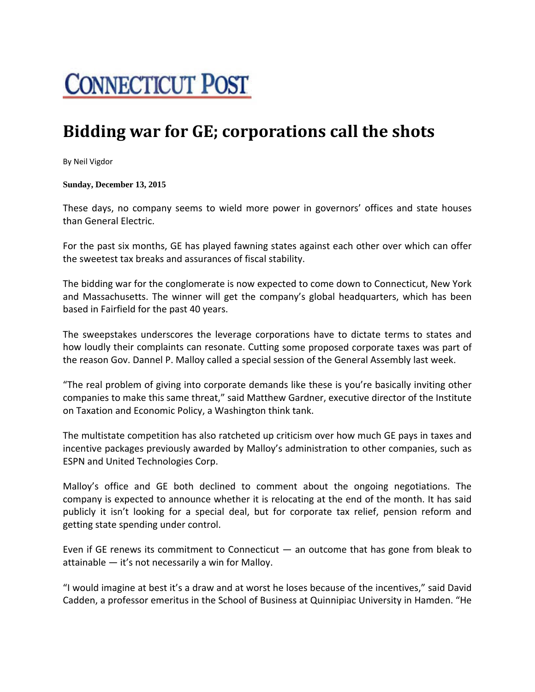## **CONNECTICUT POST**

## **Bidding war for GE; corporations call the shots**

By Neil Vigdor

**Sunday, December 13, 2015** 

These days, no company seems to wield more power in governors' offices and state houses than General Electric.

For the past six months, GE has played fawning states against each other over which can offer the sweetest tax breaks and assurances of fiscal stability.

The bidding war for the conglomerate is now expected to come down to Connecticut, New York and Massachusetts. The winner will get the company's global headquarters, which has been based in Fairfield for the past 40 years.

The sweepstakes underscores the leverage corporations have to dictate terms to states and how loudly their complaints can resonate. Cutting some proposed corporate taxes was part of the reason Gov. Dannel P. Malloy called a special session of the General Assembly last week.

"The real problem of giving into corporate demands like these is you're basically inviting other companies to make this same threat," said Matthew Gardner, executive director of the Institute on Taxation and Economic Policy, a Washington think tank.

The multistate competition has also ratcheted up criticism over how much GE pays in taxes and incentive packages previously awarded by Malloy's administration to other companies, such as ESPN and United Technologies Corp.

Malloy's office and GE both declined to comment about the ongoing negotiations. The company is expected to announce whether it is relocating at the end of the month. It has said publicly it isn't looking for a special deal, but for corporate tax relief, pension reform and getting state spending under control.

Even if GE renews its commitment to Connecticut — an outcome that has gone from bleak to attainable — it's not necessarily a win for Malloy.

"I would imagine at best it's a draw and at worst he loses because of the incentives," said David Cadden, a professor emeritus in the School of Business at Quinnipiac University in Hamden. "He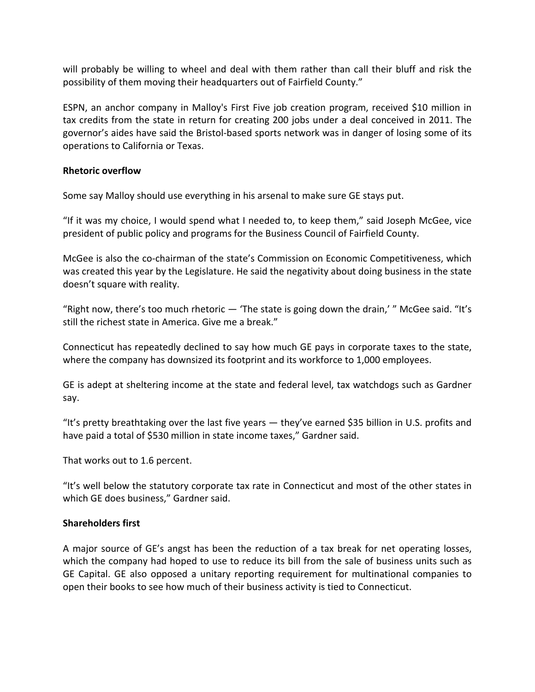will probably be willing to wheel and deal with them rather than call their bluff and risk the possibility of them moving their headquarters out of Fairfield County."

ESPN, an anchor company in Malloy's First Five job creation program, received \$10 million in tax credits from the state in return for creating 200 jobs under a deal conceived in 2011. The governor's aides have said the Bristol‐based sports network was in danger of losing some of its operations to California or Texas.

## **Rhetoric overflow**

Some say Malloy should use everything in his arsenal to make sure GE stays put.

"If it was my choice, I would spend what I needed to, to keep them," said Joseph McGee, vice president of public policy and programs for the Business Council of Fairfield County.

McGee is also the co‐chairman of the state's Commission on Economic Competitiveness, which was created this year by the Legislature. He said the negativity about doing business in the state doesn't square with reality.

"Right now, there's too much rhetoric — 'The state is going down the drain,' " McGee said. "It's still the richest state in America. Give me a break."

Connecticut has repeatedly declined to say how much GE pays in corporate taxes to the state, where the company has downsized its footprint and its workforce to 1,000 employees.

GE is adept at sheltering income at the state and federal level, tax watchdogs such as Gardner say.

"It's pretty breathtaking over the last five years — they've earned \$35 billion in U.S. profits and have paid a total of \$530 million in state income taxes," Gardner said.

That works out to 1.6 percent.

"It's well below the statutory corporate tax rate in Connecticut and most of the other states in which GE does business," Gardner said.

## **Shareholders first**

A major source of GE's angst has been the reduction of a tax break for net operating losses, which the company had hoped to use to reduce its bill from the sale of business units such as GE Capital. GE also opposed a unitary reporting requirement for multinational companies to open their books to see how much of their business activity is tied to Connecticut.